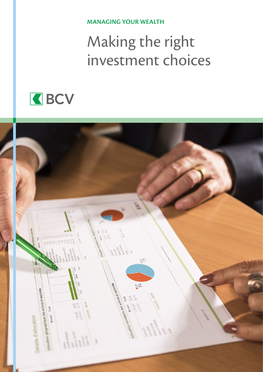**MANAGING YOUR WEALTH**

# Making the right investment choices



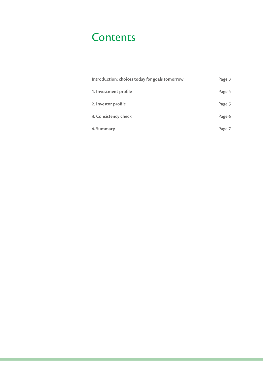### **Contents**

| Introduction: choices today for goals tomorrow | Page 3 |
|------------------------------------------------|--------|
| 1. Investment profile                          | Page 4 |
| 2. Investor profile                            | Page 5 |
| 3. Consistency check                           | Page 6 |
| 4. Summary                                     | Page 7 |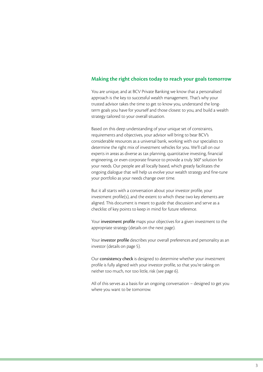### **Making the right choices today to reach your goals tomorrow**

You are unique, and at BCV Private Banking we know that a personalised approach is the key to successful wealth management. That's why your trusted advisor takes the time to get to know you, understand the longterm goals you have for yourself and those closest to you, and build a wealth strategy tailored to your overall situation.

Based on this deep understanding of your unique set of constraints, requirements and objectives, your advisor will bring to bear BCV's considerable resources as a universal bank, working with our specialists to determine the right mix of investment vehicles for you. We'll call on our experts in areas as diverse as tax planning, quantitative investing, financial engineering, or even corporate finance to provide a truly 360° solution for your needs. Our people are all locally based, which greatly facilitates the ongoing dialogue that will help us evolve your wealth strategy and fine-tune your portfolio as your needs change over time.

But it all starts with a conversation about your investor profile, your investment profile(s), and the extent to which these two key elements are aligned. This document is meant to guide that discussion and serve as a checklist of key points to keep in mind for future reference.

Your investment profile maps your objectives for a given investment to the appropriate strategy (details on the next page).

Your investor profile describes your overall preferences and personality as an investor (details on page 5).

Our consistency check is designed to determine whether your investment profile is fully aligned with your investor profile, so that you're taking on neither too much, nor too little, risk (see page 6).

All of this serves as a basis for an ongoing conversation – designed to get you where you want to be tomorrow.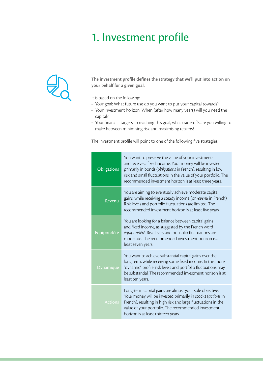### 1. Investment profile



**The investment profile defines the strategy that we'll put into action on your behalf for a given goal.**

It is based on the following:

- Your goal: What future use do you want to put your capital towards?
- Your investment horizon: When (after how many years) will you need the capital?
- Your financial targets: In reaching this goal, what trade-offs are you willing to make between minimising risk and maximising returns?

The investment profile will point to one of the following five strategies:

| <b>Obligations</b> | You want to preserve the value of your investments<br>and receive a fixed income. Your money will be invested<br>primarily in bonds (obligations in French), resulting in low<br>risk and small fluctuations in the value of your portfolio. The<br>recommended investment horizon is at least three years. |
|--------------------|-------------------------------------------------------------------------------------------------------------------------------------------------------------------------------------------------------------------------------------------------------------------------------------------------------------|
| Revenu             | You are aiming to eventually achieve moderate capital<br>gains, while receiving a steady income (or revenu in French).<br>Risk levels and portfolio fluctuations are limited. The<br>recommended investment horizon is at least five years.                                                                 |
| Equipondéré        | You are looking for a balance between capital gains<br>and fixed income, as suggested by the French word<br>équipondéré. Risk levels and portfolio fluctuations are<br>moderate. The recommended investment horizon is at<br>least seven years.                                                             |
| <b>Dynamique</b>   | You want to achieve substantial capital gains over the<br>long term, while receiving some fixed income. In this more<br>"dynamic" profile, risk levels and portfolio fluctuations may<br>be substantial. The recommended investment horizon is at<br>least ten years.                                       |
| <b>Actions</b>     | Long-term capital gains are almost your sole objective.<br>Your money will be invested primarily in stocks (actions in<br>French), resulting in high risk and large fluctuations in the<br>value of your portfolio. The recommended investment<br>horizon is at least thirteen years.                       |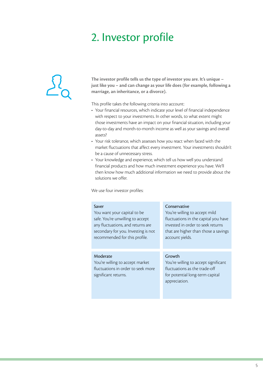### 2. Investor profile



**The investor profile tells us the type of investor you are. It's unique – just like you – and can change as your life does (for example, following a marriage, an inheritance, or a divorce).**

This profile takes the following criteria into account:

- Your financial resources, which indicate your level of financial independence with respect to your investments. In other words, to what extent might those investments have an impact on your financial situation, including your day-to-day and month-to-month income as well as your savings and overall assets?
- Your risk tolerance, which assesses how you react when faced with the market fluctuations that affect every investment. Your investments shouldn't be a cause of unnecessary stress.
- Your knowledge and experience, which tell us how well you understand financial products and how much investment experience you have. We'll then know how much additional information we need to provide about the solutions we offer.

We use four investor profiles:

#### Saver

You want your capital to be safe. You're unwilling to accept any fluctuations, and returns are secondary for you. Investing is not recommended for this profile.

#### Moderate

You're willing to accept market fluctuations in order to seek more significant returns.

#### **Conservative**

You're willing to accept mild fluctuations in the capital you have invested in order to seek returns that are higher than those a savings account yields.

#### **Growth**

You're willing to accept significant fluctuations as the trade-off for potential long-term capital appreciation.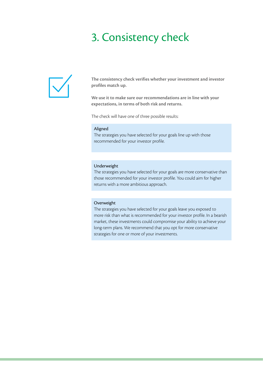### 3. Consistency check



**The consistency check verifies whether your investment and investor profiles match up.**

**We use it to make sure our recommendations are in line with your expectations, in terms of both risk and returns.**

The check will have one of three possible results:

#### Aligned

The strategies you have selected for your goals line up with those recommended for your investor profile.

#### Underweight

The strategies you have selected for your goals are more conservative than those recommended for your investor profile. You could aim for higher returns with a more ambitious approach.

#### Overweight

The strategies you have selected for your goals leave you exposed to more risk than what is recommended for your investor profile. In a bearish market, these investments could compromise your ability to achieve your long-term plans. We recommend that you opt for more conservative strategies for one or more of your investments.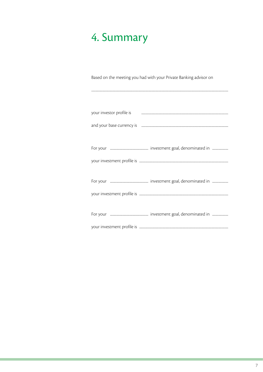## 4. Summary

Based on the meeting you had with your Private Banking advisor on

| your investor profile is <b>with a construction of the constant of the constant of the constant of the constant of the constant of the constant of the constant of the constant of the constant of the constant of the constant </b> |
|--------------------------------------------------------------------------------------------------------------------------------------------------------------------------------------------------------------------------------------|
|                                                                                                                                                                                                                                      |
|                                                                                                                                                                                                                                      |
|                                                                                                                                                                                                                                      |
|                                                                                                                                                                                                                                      |
|                                                                                                                                                                                                                                      |
|                                                                                                                                                                                                                                      |
|                                                                                                                                                                                                                                      |
|                                                                                                                                                                                                                                      |
|                                                                                                                                                                                                                                      |
|                                                                                                                                                                                                                                      |